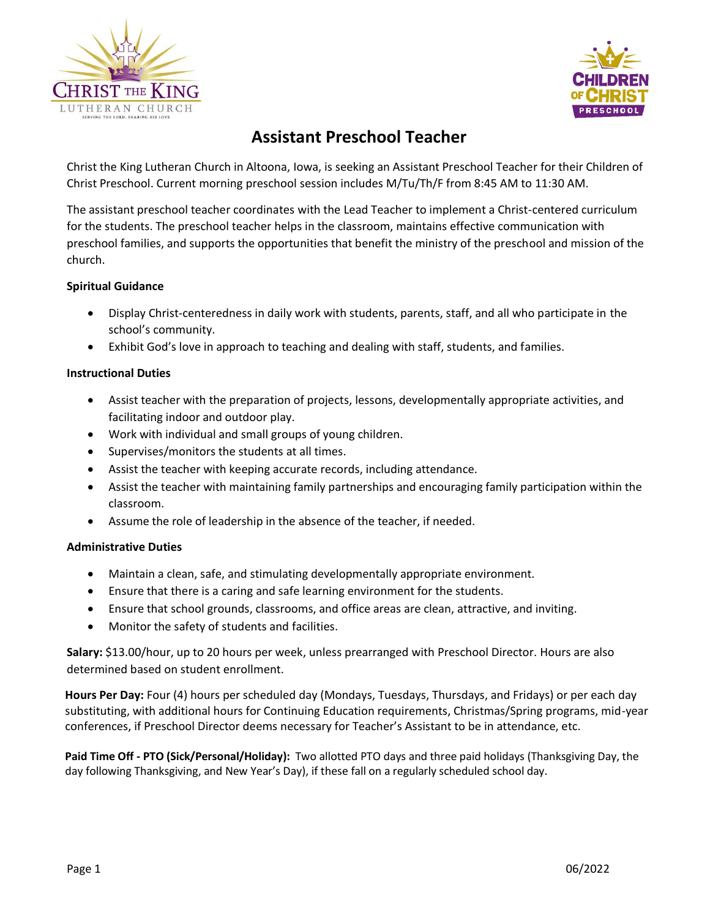



# **Assistant Preschool Teacher**

Christ the King Lutheran Church in Altoona, Iowa, is seeking an Assistant Preschool Teacher for their Children of Christ Preschool. Current morning preschool session includes M/Tu/Th/F from 8:45 AM to 11:30 AM.

The assistant preschool teacher coordinates with the Lead Teacher to implement a Christ-centered curriculum for the students. The preschool teacher helps in the classroom, maintains effective communication with preschool families, and supports the opportunities that benefit the ministry of the preschool and mission of the church.

## **Spiritual Guidance**

- Display Christ‐centeredness in daily work with students, parents, staff, and all who participate in the school's community.
- Exhibit God's love in approach to teaching and dealing with staff, students, and families.

#### **Instructional Duties**

- Assist teacher with the preparation of projects, lessons, developmentally appropriate activities, and facilitating indoor and outdoor play.
- Work with individual and small groups of young children.
- Supervises/monitors the students at all times.
- Assist the teacher with keeping accurate records, including attendance.
- Assist the teacher with maintaining family partnerships and encouraging family participation within the classroom.
- Assume the role of leadership in the absence of the teacher, if needed.

## **Administrative Duties**

- Maintain a clean, safe, and stimulating developmentally appropriate environment.
- Ensure that there is a caring and safe learning environment for the students.
- Ensure that school grounds, classrooms, and office areas are clean, attractive, and inviting.
- Monitor the safety of students and facilities.

**Salary:** \$13.00/hour, up to 20 hours per week, unless prearranged with Preschool Director. Hours are also determined based on student enrollment.

**Hours Per Day:** Four (4) hours per scheduled day (Mondays, Tuesdays, Thursdays, and Fridays) or per each day substituting, with additional hours for Continuing Education requirements, Christmas/Spring programs, mid-year conferences, if Preschool Director deems necessary for Teacher's Assistant to be in attendance, etc.

**Paid Time Off - PTO (Sick/Personal/Holiday):** Two allotted PTO days and three paid holidays (Thanksgiving Day, the day following Thanksgiving, and New Year's Day), if these fall on a regularly scheduled school day.